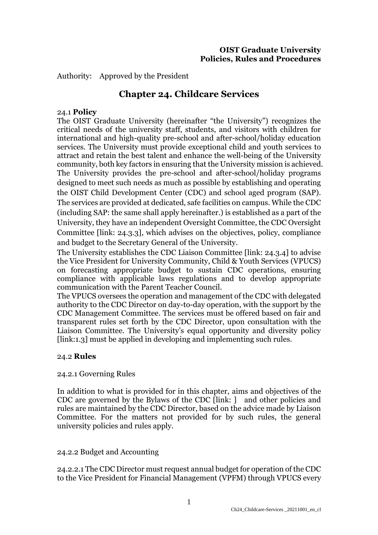Authority: Approved by the President

# **Chapter 24. Childcare Services**

### 24.1 **Policy**

The OIST Graduate University (hereinafter "the University") recognizes the critical needs of the university staff, students, and visitors with children for international and high-quality pre-school and after-school/holiday education services. The University must provide exceptional child and youth services to attract and retain the best talent and enhance the well-being of the University community, both key factors in ensuring that the University mission is achieved. The University provides the pre-school and after-school/holiday programs designed to meet such needs as much as possible by establishing and operating the OIST Child Development Center (CDC) and school aged program (SAP). The services are provided at dedicated, safe facilities on campus. While the CDC (including SAP: the same shall apply hereinafter.) is established as a part of the University, they have an independent Oversight Committee, the CDC Oversight Committee [link: 24.3.3], which advises on the objectives, policy, compliance and budget to the Secretary General of the University.

The University establishes the CDC Liaison Committee [link: 24.3.4] to advise the Vice President for University Community, Child & Youth Services (VPUCS) on forecasting appropriate budget to sustain CDC operations, ensuring compliance with applicable laws regulations and to develop appropriate communication with the Parent Teacher Council.

The VPUCS oversees the operation and management of the CDC with delegated authority to the CDC Director on day-to-day operation, with the support by the CDC Management Committee. The services must be offered based on fair and transparent rules set forth by the CDC Director, upon consultation with the Liaison Committee. The University's equal opportunity and diversity policy [link:1.3] must be applied in developing and implementing such rules.

### 24.2 **Rules**

### 24.2.1 Governing Rules

In addition to what is provided for in this chapter, aims and objectives of the CDC are governed by the Bylaws of the CDC [link: ] and other policies and rules are maintained by the CDC Director, based on the advice made by Liaison Committee. For the matters not provided for by such rules, the general university policies and rules apply.

24.2.2 Budget and Accounting

24.2.2.1 The CDC Director must request annual budget for operation of the CDC to the Vice President for Financial Management (VPFM) through VPUCS every

1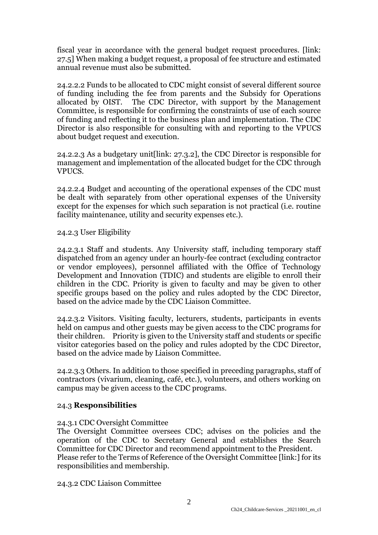fiscal year in accordance with the general budget request procedures. [link: 27.5] When making a budget request, a proposal of fee structure and estimated annual revenue must also be submitted.

24.2.2.2 Funds to be allocated to CDC might consist of several different source of funding including the fee from parents and the Subsidy for Operations allocated by OIST. The CDC Director, with support by the Management Committee, is responsible for confirming the constraints of use of each source of funding and reflecting it to the business plan and implementation. The CDC Director is also responsible for consulting with and reporting to the VPUCS about budget request and execution.

24.2.2.3 As a budgetary unit[link: 27.3.2], the CDC Director is responsible for management and implementation of the allocated budget for the CDC through VPUCS.

24.2.2.4 Budget and accounting of the operational expenses of the CDC must be dealt with separately from other operational expenses of the University except for the expenses for which such separation is not practical (i.e. routine facility maintenance, utility and security expenses etc.).

24.2.3 User Eligibility

24.2.3.1 Staff and students. Any University staff, including temporary staff dispatched from an agency under an hourly-fee contract (excluding contractor or vendor employees), personnel affiliated with the Office of Technology Development and Innovation (TDIC) and students are eligible to enroll their children in the CDC. Priority is given to faculty and may be given to other specific groups based on the policy and rules adopted by the CDC Director, based on the advice made by the CDC Liaison Committee.

24.2.3.2 Visitors. Visiting faculty, lecturers, students, participants in events held on campus and other guests may be given access to the CDC programs for their children. Priority is given to the University staff and students or specific visitor categories based on the policy and rules adopted by the CDC Director, based on the advice made by Liaison Committee.

24.2.3.3 Others. In addition to those specified in preceding paragraphs, staff of contractors (vivarium, cleaning, café, etc.), volunteers, and others working on campus may be given access to the CDC programs.

### 24.3 **Responsibilities**

### 24.3.1 CDC Oversight Committee

The Oversight Committee oversees CDC; advises on the policies and the operation of the CDC to Secretary General and establishes the Search Committee for CDC Director and recommend appointment to the President. Please refer to the Terms of Reference of the Oversight Committee [link:] for its responsibilities and membership.

24.3.2 CDC Liaison Committee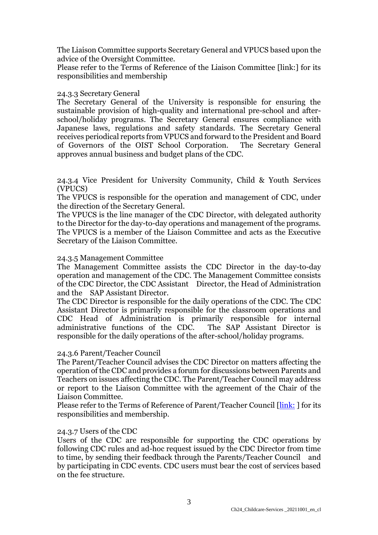The Liaison Committee supports Secretary General and VPUCS based upon the advice of the Oversight Committee.

Please refer to the Terms of Reference of the Liaison Committee [link:] for its responsibilities and membership

#### 24.3.3 Secretary General

The Secretary General of the University is responsible for ensuring the sustainable provision of high-quality and international pre-school and afterschool/holiday programs. The Secretary General ensures compliance with Japanese laws, regulations and safety standards. The Secretary General receives periodical reports from VPUCS and forward to the President and Board of Governors of the OIST School Corporation. The Secretary General approves annual business and budget plans of the CDC.

24.3.4 Vice President for University Community, Child & Youth Services (VPUCS)

The VPUCS is responsible for the operation and management of CDC, under the direction of the Secretary General.

The VPUCS is the line manager of the CDC Director, with delegated authority to the Director for the day-to-day operations and management of the programs. The VPUCS is a member of the Liaison Committee and acts as the Executive Secretary of the Liaison Committee.

#### 24.3.5 Management Committee

The Management Committee assists the CDC Director in the day-to-day operation and management of the CDC. The Management Committee consists of the CDC Director, the CDC Assistant Director, the Head of Administration and the SAP Assistant Director.

The CDC Director is responsible for the daily operations of the CDC. The CDC Assistant Director is primarily responsible for the classroom operations and CDC Head of Administration is primarily responsible for internal administrative functions of the CDC. responsible for the daily operations of the after-school/holiday programs.

### 24.3.6 Parent/Teacher Council

The Parent/Teacher Council advises the CDC Director on matters affecting the operation of the CDC and provides a forum for discussions between Parents and Teachers on issues affecting the CDC. The Parent/Teacher Council may address or report to the Liaison Committee with the agreement of the Chair of the Liaison Committee.

Please refer to the Terms of Reference of Parent/Teacher Council [\[link:](https://groups.oist.jp/sites/default/files/imce/u100902/ToR%20for%20PTC%2020211201.pdf) ] for its responsibilities and membership.

### 24.3.7 Users of the CDC

Users of the CDC are responsible for supporting the CDC operations by following CDC rules and ad-hoc request issued by the CDC Director from time to time, by sending their feedback through the Parents/Teacher Council and by participating in CDC events. CDC users must bear the cost of services based on the fee structure.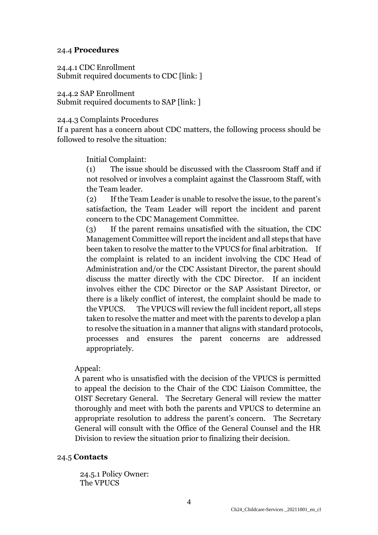# 24.4 **Procedures**

24.4.1 CDC Enrollment Submit required documents to CDC [link: ]

24.4.2 SAP Enrollment Submit required documents to SAP [link: ]

# 24.4.3 Complaints Procedures

If a parent has a concern about CDC matters, the following process should be followed to resolve the situation:

Initial Complaint:

(1) The issue should be discussed with the Classroom Staff and if not resolved or involves a complaint against the Classroom Staff, with the Team leader.

(2) If the Team Leader is unable to resolve the issue, to the parent's satisfaction, the Team Leader will report the incident and parent concern to the CDC Management Committee.

(3) If the parent remains unsatisfied with the situation, the CDC Management Committee will report the incident and all steps that have been taken to resolve the matter to the VPUCS for final arbitration. If the complaint is related to an incident involving the CDC Head of Administration and/or the CDC Assistant Director, the parent should discuss the matter directly with the CDC Director. If an incident involves either the CDC Director or the SAP Assistant Director, or there is a likely conflict of interest, the complaint should be made to the VPUCS. The VPUCS will review the full incident report, all steps taken to resolve the matter and meet with the parents to develop a plan to resolve the situation in a manner that aligns with standard protocols, processes and ensures the parent concerns are addressed appropriately.

# Appeal:

A parent who is unsatisfied with the decision of the VPUCS is permitted to appeal the decision to the Chair of the CDC Liaison Committee, the OIST Secretary General. The Secretary General will review the matter thoroughly and meet with both the parents and VPUCS to determine an appropriate resolution to address the parent's concern. The Secretary General will consult with the Office of the General Counsel and the HR Division to review the situation prior to finalizing their decision.

### 24.5 **Contacts**

24.5.1 Policy Owner: The VPUCS